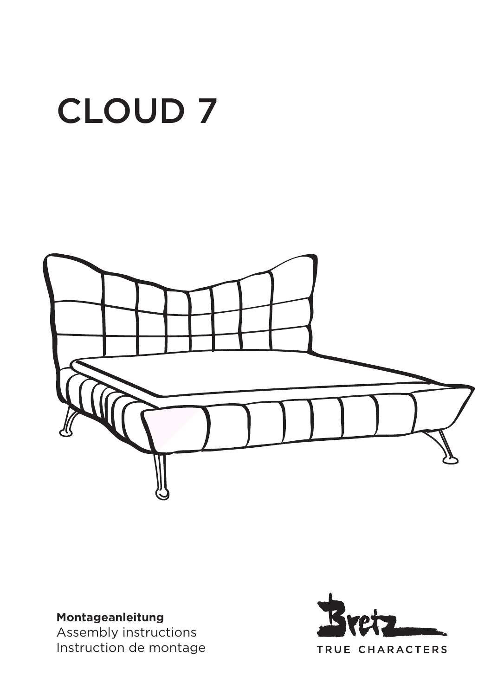# CLOUD 7



**Montageanleitung** Assembly instructions Instruction de montage

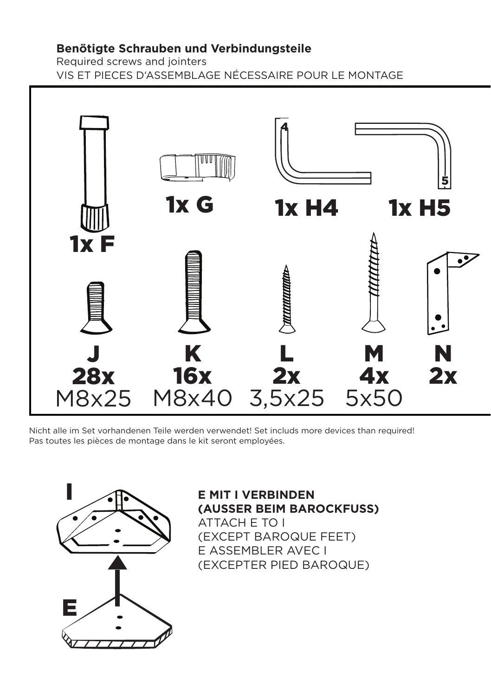### **Benötigte Schrauben und Verbindungsteile**

Required screws and jointers VIS ET PIECES D'ASSEMBLAGE NÉCESSAIRE POUR LE MONTAGE



Nicht alle im Set vorhandenen Teile werden verwendet! Set includs more devices than required! Pas toutes les pièces de montage dans le kit seront employées.



**E MIT I VERBINDEN (AUSSER BEIM BAROCKFUSS)** ATTACH E TO I (EXCEPT BAROQUE FEET) E ASSEMBLER AVEC I (EXCEPTER PIED BAROQUE)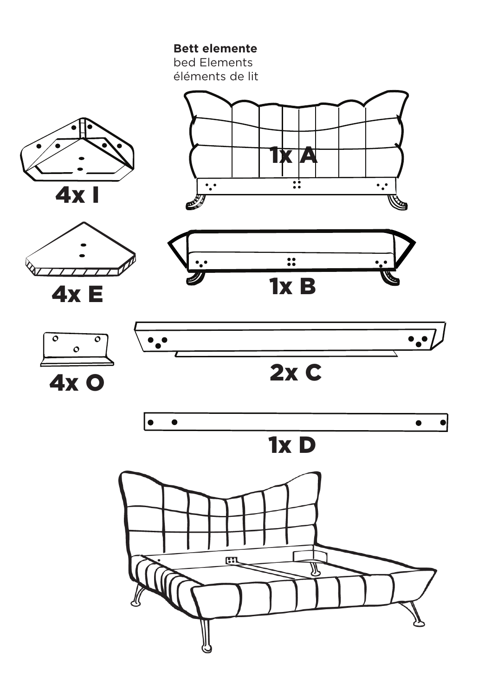**Bett elemente** 

bed Elements éléments de lit

















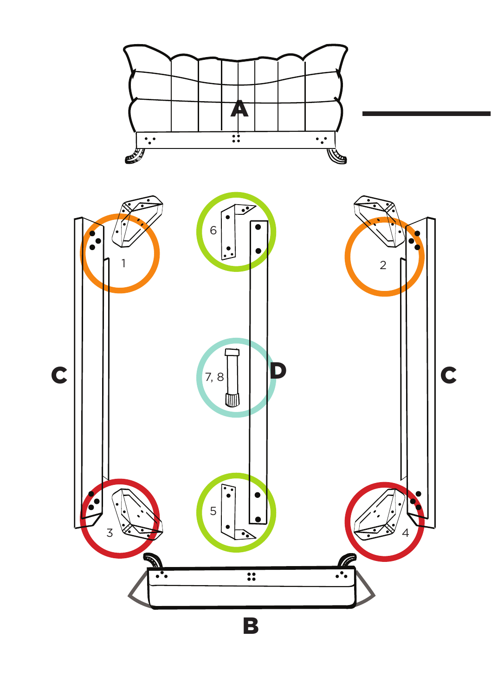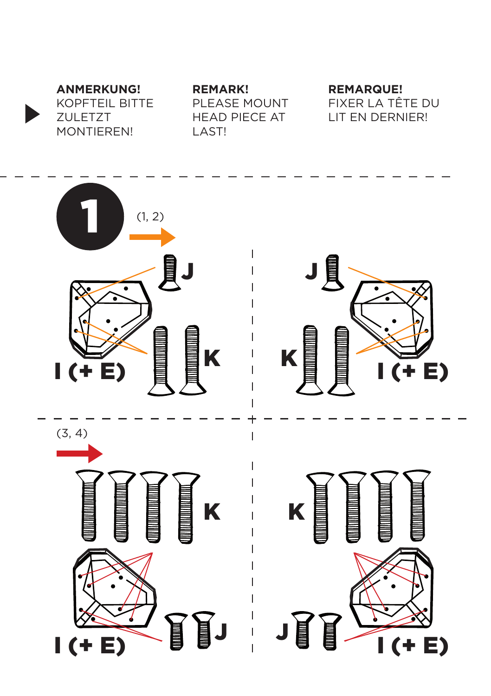**ANMERKUNG!** KOPFTEIL BITTE ZULETZT MONTIEREN!

### **REMARK!**

PLEASE MOUNT HEAD PIECE AT LAST!

**REMARQUE!** FIXER LA TÊTE DU LIT EN DERNIER!

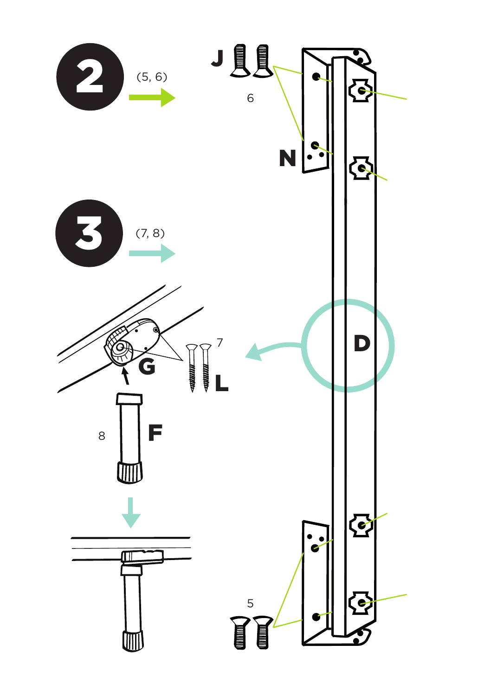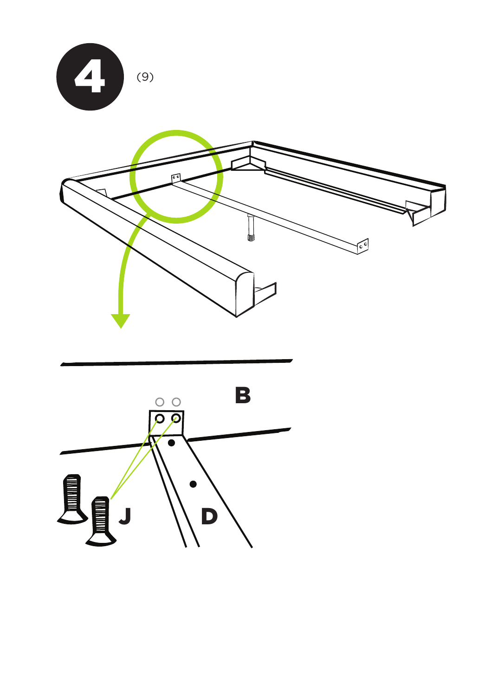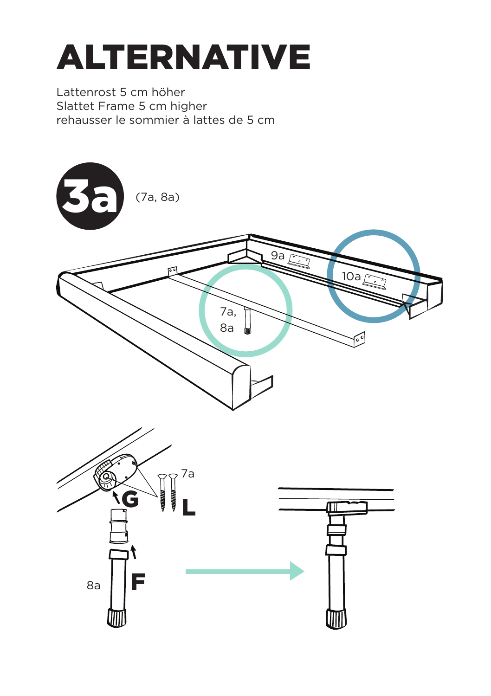## **ALTERNATIVE**

Lattenrost 5 cm höher Slattet Frame 5 cm higher rehausser le sommier à lattes de 5 cm

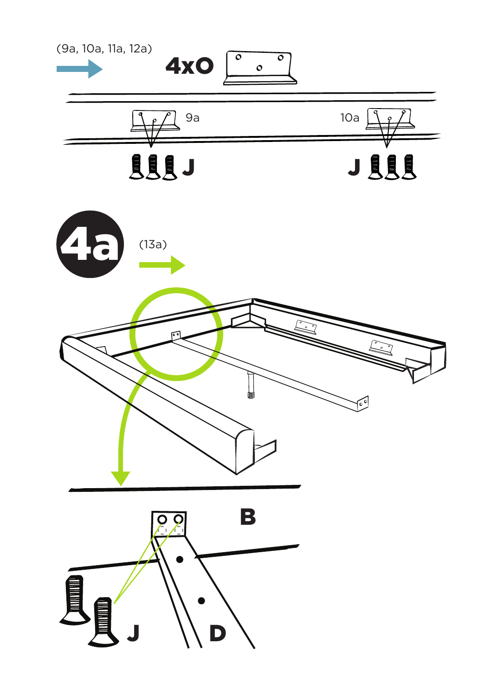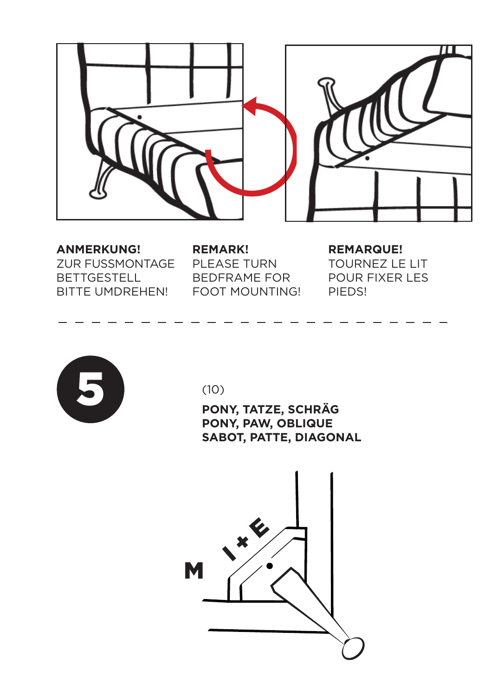

### **ANMERKUNG!**

ZUR FUSSMONTAGE BETTGESTELL BITTE UMDREHEN!

**REMARK!** PLEASE TURN BEDFRAME FOR FOOT MOUNTING!

**REMARQUE!** TOURNEZ LE LIT POUR FIXER LES PIEDS!



**PONY, TATZE, SCHRÄG PONY, PAW, OBLIQUE SABOT, PATTE, DIAGONAL**

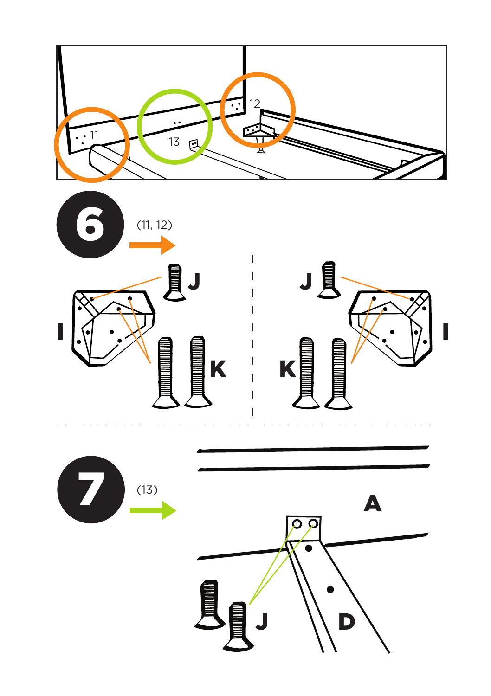